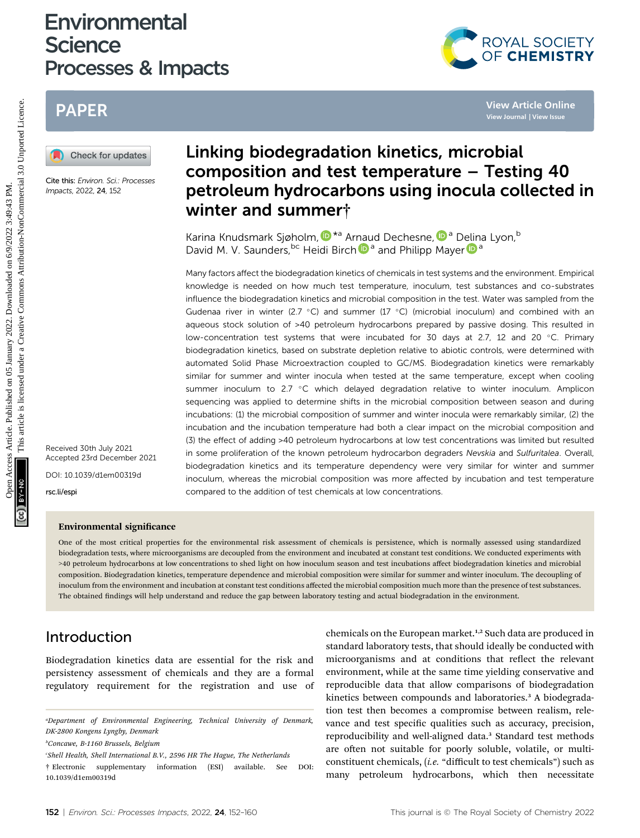# **Environmental Science** Processes & Impacts



# PAPER



Cite this: Environ. Sci.: Processes Impacts, 2022, 24, 152

Linking biodegradation kinetics, microbial composition and test temperature – Testing 40 petroleum hydrocarbons using inocula collected in winter and summer†

Karina Knudsmark Sjøholm[,](http://orcid.org/0000-0002-6638-2158)  $\mathbb{D}^{*a}$  Arnaud Dechesne,  $\mathbb{D}^{a}$  Delina Lyon,<sup>b</sup> David M. V. Saunders, <sup>bc</sup> Heidi Birch <sup>a</sup> and Philipp Mayer <sup>a</sup>

Many factors affect the biodegradation kinetics of chemicals in test systems and the environment. Empirical knowledge is needed on how much test temperature, inoculum, test substances and co-substrates influence the biodegradation kinetics and microbial composition in the test. Water was sampled from the Gudenaa river in winter (2.7 °C) and summer (17 °C) (microbial inoculum) and combined with an aqueous stock solution of >40 petroleum hydrocarbons prepared by passive dosing. This resulted in low-concentration test systems that were incubated for 30 days at 2.7, 12 and 20  $^{\circ}$ C. Primary biodegradation kinetics, based on substrate depletion relative to abiotic controls, were determined with automated Solid Phase Microextraction coupled to GC/MS. Biodegradation kinetics were remarkably similar for summer and winter inocula when tested at the same temperature, except when cooling summer inoculum to 2.7 °C which delayed degradation relative to winter inoculum. Amplicon sequencing was applied to determine shifts in the microbial composition between season and during incubations: (1) the microbial composition of summer and winter inocula were remarkably similar, (2) the incubation and the incubation temperature had both a clear impact on the microbial composition and (3) the effect of adding >40 petroleum hydrocarbons at low test concentrations was limited but resulted in some proliferation of the known petroleum hydrocarbon degraders Nevskia and Sulfuritalea. Overall, biodegradation kinetics and its temperature dependency were very similar for winter and summer inoculum, whereas the microbial composition was more affected by incubation and test temperature compared to the addition of test chemicals at low concentrations. **PAPER**<br> **EXERCTS**<br> **CALCOMBER CONSULTS AND DISTURBATION CONFIDENCE CRIMITED ACTIVE CONDITION COMPOSITION and test temperature - Testing 40<br>
CHERCHOLOGY CONDITION DISTURBATION CONFIDENT CONDITION CONFIDENT CONDITION CONFI** 

Received 30th July 2021 Accepted 23rd December 2021 DOI: 10.1039/d1em00319d

rsc.li/espi

#### Environmental significance

One of the most critical properties for the environmental risk assessment of chemicals is persistence, which is normally assessed using standardized biodegradation tests, where microorganisms are decoupled from the environment and incubated at constant test conditions. We conducted experiments with >40 petroleum hydrocarbons at low concentrations to shed light on how inoculum season and test incubations affect biodegradation kinetics and microbial composition. Biodegradation kinetics, temperature dependence and microbial composition were similar for summer and winter inoculum. The decoupling of inoculum from the environment and incubation at constant test conditions affected the microbial composition much more than the presence of test substances. The obtained findings will help understand and reduce the gap between laboratory testing and actual biodegradation in the environment.

# Introduction

Biodegradation kinetics data are essential for the risk and persistency assessment of chemicals and they are a formal regulatory requirement for the registration and use of

chemicals on the European market.<sup>1,2</sup> Such data are produced in standard laboratory tests, that should ideally be conducted with microorganisms and at conditions that reflect the relevant environment, while at the same time yielding conservative and reproducible data that allow comparisons of biodegradation kinetics between compounds and laboratories.<sup>3</sup> A biodegradation test then becomes a compromise between realism, relevance and test specific qualities such as accuracy, precision, reproducibility and well-aligned data.<sup>3</sup> Standard test methods are often not suitable for poorly soluble, volatile, or multiconstituent chemicals, (i.e. "difficult to test chemicals") such as many petroleum hydrocarbons, which then necessitate

<sup>&</sup>quot;Department of Environmental Engineering, Technical University of Denmark, DK-2800 Kongens Lyngby, Denmark

b Concawe, B-1160 Brussels, Belgium

c Shell Health, Shell International B.V., 2596 HR The Hague, The Netherlands

<sup>†</sup> Electronic supplementary information (ESI) available. See DOI: 10.1039/d1em00319d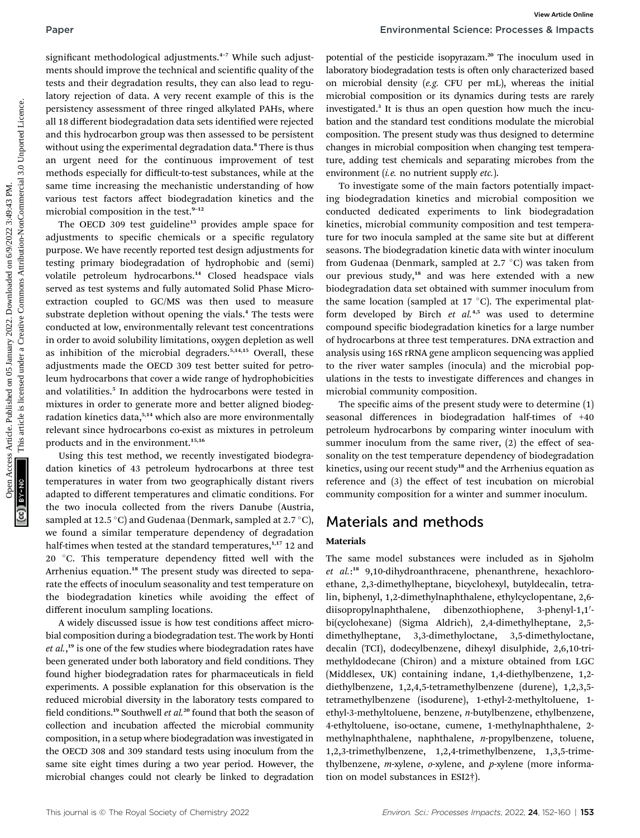significant methodological adjustments.<sup>4-7</sup> While such adjustments should improve the technical and scientific quality of the tests and their degradation results, they can also lead to regulatory rejection of data. A very recent example of this is the persistency assessment of three ringed alkylated PAHs, where all 18 different biodegradation data sets identified were rejected and this hydrocarbon group was then assessed to be persistent without using the experimental degradation data.<sup>8</sup> There is thus an urgent need for the continuous improvement of test methods especially for difficult-to-test substances, while at the same time increasing the mechanistic understanding of how various test factors affect biodegradation kinetics and the microbial composition in the test.<sup>9-12</sup>

The OECD 309 test guideline<sup>13</sup> provides ample space for adjustments to specific chemicals or a specific regulatory purpose. We have recently reported test design adjustments for testing primary biodegradation of hydrophobic and (semi) volatile petroleum hydrocarbons.<sup>14</sup> Closed headspace vials served as test systems and fully automated Solid Phase Microextraction coupled to GC/MS was then used to measure substrate depletion without opening the vials.<sup>4</sup> The tests were conducted at low, environmentally relevant test concentrations in order to avoid solubility limitations, oxygen depletion as well as inhibition of the microbial degraders.<sup>5,14,15</sup> Overall, these adjustments made the OECD 309 test better suited for petroleum hydrocarbons that cover a wide range of hydrophobicities and volatilities.<sup>5</sup> In addition the hydrocarbons were tested in mixtures in order to generate more and better aligned biodegradation kinetics data,<sup>5,14</sup> which also are more environmentally relevant since hydrocarbons co-exist as mixtures in petroleum products and in the environment.<sup>15,16</sup> **Express are the controlled on 1** different access Article on Different access Article is the positive of the controlled on 10 <sup>open</sup> access Article is the most shown in the controlled on the interpret is licensed under t

Using this test method, we recently investigated biodegradation kinetics of 43 petroleum hydrocarbons at three test temperatures in water from two geographically distant rivers adapted to different temperatures and climatic conditions. For the two inocula collected from the rivers Danube (Austria, sampled at 12.5 °C) and Gudenaa (Denmark, sampled at 2.7 °C), we found a similar temperature dependency of degradation half-times when tested at the standard temperatures,<sup>1,17</sup> 12 and 20 °C. This temperature dependency fitted well with the Arrhenius equation.<sup>18</sup> The present study was directed to separate the effects of inoculum seasonality and test temperature on the biodegradation kinetics while avoiding the effect of different inoculum sampling locations.

A widely discussed issue is how test conditions affect microbial composition during a biodegradation test. The work by Honti et al.,<sup>19</sup> is one of the few studies where biodegradation rates have been generated under both laboratory and field conditions. They found higher biodegradation rates for pharmaceuticals in field experiments. A possible explanation for this observation is the reduced microbial diversity in the laboratory tests compared to field conditions.<sup>19</sup> Southwell *et al.*<sup>20</sup> found that both the season of collection and incubation affected the microbial community composition, in a setup where biodegradation was investigated in the OECD 308 and 309 standard tests using inoculum from the same site eight times during a two year period. However, the microbial changes could not clearly be linked to degradation

potential of the pesticide isopyrazam.<sup>20</sup> The inoculum used in laboratory biodegradation tests is often only characterized based on microbial density (e.g. CFU per mL), whereas the initial microbial composition or its dynamics during tests are rarely investigated.<sup>3</sup> It is thus an open question how much the incubation and the standard test conditions modulate the microbial composition. The present study was thus designed to determine changes in microbial composition when changing test temperature, adding test chemicals and separating microbes from the environment (i.e. no nutrient supply  $etc.$  ).

To investigate some of the main factors potentially impacting biodegradation kinetics and microbial composition we conducted dedicated experiments to link biodegradation kinetics, microbial community composition and test temperature for two inocula sampled at the same site but at different seasons. The biodegradation kinetic data with winter inoculum from Gudenaa (Denmark, sampled at 2.7  $^{\circ}$ C) was taken from our previous study,<sup>18</sup> and was here extended with a new biodegradation data set obtained with summer inoculum from the same location (sampled at  $17^{\circ}$ C). The experimental platform developed by Birch et  $al^{4,5}$  was used to determine compound specific biodegradation kinetics for a large number of hydrocarbons at three test temperatures. DNA extraction and analysis using 16S rRNA gene amplicon sequencing was applied to the river water samples (inocula) and the microbial populations in the tests to investigate differences and changes in microbial community composition.

The specific aims of the present study were to determine  $(1)$ seasonal differences in biodegradation half-times of +40 petroleum hydrocarbons by comparing winter inoculum with summer inoculum from the same river, (2) the effect of seasonality on the test temperature dependency of biodegradation kinetics, using our recent study<sup>18</sup> and the Arrhenius equation as reference and (3) the effect of test incubation on microbial community composition for a winter and summer inoculum.

# Materials and methods

#### Materials

The same model substances were included as in Sjøholm et al.:<sup>18</sup> 9,10-dihydroanthracene, phenanthrene, hexachloroethane, 2,3-dimethylheptane, bicyclohexyl, butyldecalin, tetralin, biphenyl, 1,2-dimethylnaphthalene, ethylcyclopentane, 2,6 diisopropylnaphthalene, dibenzothiophene, 3-phenyl-1,1'bi(cyclohexane) (Sigma Aldrich), 2,4-dimethylheptane, 2,5 dimethylheptane, 3,3-dimethyloctane, 3,5-dimethyloctane, decalin (TCI), dodecylbenzene, dihexyl disulphide, 2,6,10-trimethyldodecane (Chiron) and a mixture obtained from LGC (Middlesex, UK) containing indane, 1,4-diethylbenzene, 1,2 diethylbenzene, 1,2,4,5-tetramethylbenzene (durene), 1,2,3,5 tetramethylbenzene (isodurene), 1-ethyl-2-methyltoluene, 1 ethyl-3-methyltoluene, benzene, n-butylbenzene, ethylbenzene, 4-ethyltoluene, iso-octane, cumene, 1-methylnaphthalene, 2 methylnaphthalene, naphthalene, n-propylbenzene, toluene, 1,2,3-trimethylbenzene, 1,2,4-trimethylbenzene, 1,3,5-trimethylbenzene, *m*-xylene, *o*-xylene, and *p*-xylene (more information on model substances in ESI2†).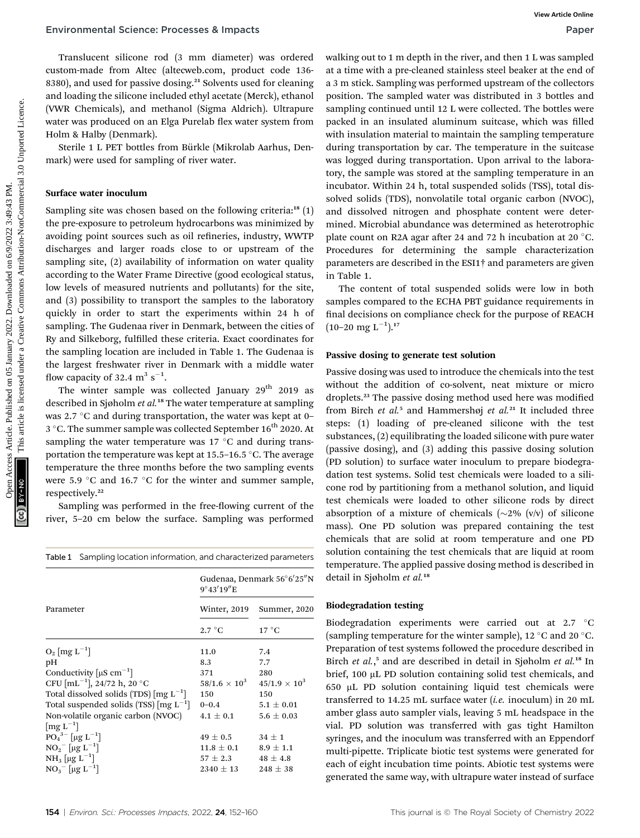Translucent silicone rod (3 mm diameter) was ordered custom-made from Altec (altecweb.com, product code 136- 8380), and used for passive dosing.<sup>21</sup> Solvents used for cleaning and loading the silicone included ethyl acetate (Merck), ethanol (VWR Chemicals), and methanol (Sigma Aldrich). Ultrapure water was produced on an Elga Purelab flex water system from Holm & Halby (Denmark).

Sterile 1 L PET bottles from Bürkle (Mikrolab Aarhus, Denmark) were used for sampling of river water.

### Surface water inoculum

Sampling site was chosen based on the following criteria:<sup>18</sup>  $(1)$ the pre-exposure to petroleum hydrocarbons was minimized by avoiding point sources such as oil refineries, industry, WWTP discharges and larger roads close to or upstream of the sampling site, (2) availability of information on water quality according to the Water Frame Directive (good ecological status, low levels of measured nutrients and pollutants) for the site, and (3) possibility to transport the samples to the laboratory quickly in order to start the experiments within 24 h of sampling. The Gudenaa river in Denmark, between the cities of Ry and Silkeborg, fullled these criteria. Exact coordinates for the sampling location are included in Table 1. The Gudenaa is the largest freshwater river in Denmark with a middle water flow capacity of 32.4  $m^3 s^{-1}$ .

The winter sample was collected January  $29<sup>th</sup>$  2019 as described in Sjøholm et al.<sup>18</sup> The water temperature at sampling was 2.7  $\degree$ C and during transportation, the water was kept at 0– 3 °C. The summer sample was collected September  $16^{th}$  2020. At sampling the water temperature was  $17 \degree C$  and during transportation the temperature was kept at  $15.5$ –16.5 °C. The average temperature the three months before the two sampling events were 5.9  $\degree$ C and 16.7  $\degree$ C for the winter and summer sample, respectively.<sup>22</sup>

Sampling was performed in the free-flowing current of the river, 5–20 cm below the surface. Sampling was performed

|  |  |  | Table 1 Sampling location information, and characterized parameters |  |  |
|--|--|--|---------------------------------------------------------------------|--|--|
|--|--|--|---------------------------------------------------------------------|--|--|

|                                                                | Gudenaa, Denmark 56°6′25″N<br>$9^{\circ}43'19''E$ |                        |  |
|----------------------------------------------------------------|---------------------------------------------------|------------------------|--|
| Parameter                                                      | Winter, 2019                                      | Summer, 2020           |  |
|                                                                | $2.7\degree$ C                                    | $17^{\circ}$ C         |  |
| $O_2$ [mg $L^{-1}$ ]                                           | 11.0                                              | 7.4                    |  |
| pН                                                             | 8.3                                               | 7.7                    |  |
| Conductivity $[\mu S \text{ cm}^{-1}]$                         | 371                                               | 280                    |  |
| CFU $\lceil mL^{-1} \rceil$ , 24/72 h, 20 °C                   | $58/1.6 \times 10^{3}$                            | $45/1.9 \times 10^{3}$ |  |
| Total dissolved solids (TDS) $\left[\text{mg } L^{-1}\right]$  | 150                                               | 150                    |  |
| Total suspended solids (TSS) $\lceil \text{mg } L^{-1} \rceil$ | $0 - 0.4$                                         | $5.1 \pm 0.01$         |  |
| Non-volatile organic carbon (NVOC)                             | $4.1\pm0.1$                                       | $5.6 \pm 0.03$         |  |
| $\left[\text{mg } L^{-1}\right]$                               |                                                   |                        |  |
| $PO_4^{3-}$ [µg L <sup>-1</sup> ]                              | $49\pm0.5$                                        | $34 \pm 1$             |  |
| $NO_2^-$ [µg $L^{-1}$ ]                                        | $11.8\pm0.1$                                      | $8.9 \pm 1.1$          |  |
| NH <sub>3</sub> [µg L <sup>-1</sup> ]                          | $57 \pm 2.3$                                      | $48 \pm 4.8$           |  |
| $NO_3^-$ [µg L <sup>-1</sup> ]                                 | $2340 \pm 13$                                     | $248 \pm 38$           |  |

walking out to 1 m depth in the river, and then 1 L was sampled at a time with a pre-cleaned stainless steel beaker at the end of a 3 m stick. Sampling was performed upstream of the collectors position. The sampled water was distributed in 3 bottles and sampling continued until 12 L were collected. The bottles were packed in an insulated aluminum suitcase, which was filled with insulation material to maintain the sampling temperature during transportation by car. The temperature in the suitcase was logged during transportation. Upon arrival to the laboratory, the sample was stored at the sampling temperature in an incubator. Within 24 h, total suspended solids (TSS), total dissolved solids (TDS), nonvolatile total organic carbon (NVOC), and dissolved nitrogen and phosphate content were determined. Microbial abundance was determined as heterotrophic plate count on R2A agar after 24 and 72 h incubation at 20  $^{\circ}$ C. Procedures for determining the sample characterization parameters are described in the ESI1† and parameters are given in Table 1. Environmental Science: Processes & mpacts<br>
Translatent binn absorption product of the article is a time with a pre-dense trainer a creative commons are the reat of the commons are the reat of the state of the state of the

The content of total suspended solids were low in both samples compared to the ECHA PBT guidance requirements in final decisions on compliance check for the purpose of REACH  $(10-20 \text{ mg L}^{-1})$ .<sup>17</sup>

#### Passive dosing to generate test solution

Passive dosing was used to introduce the chemicals into the test without the addition of co-solvent, neat mixture or micro droplets.<sup>23</sup> The passive dosing method used here was modified from Birch et  $al$ <sup>5</sup> and Hammershøj et  $al$ <sup>21</sup> It included three steps: (1) loading of pre-cleaned silicone with the test substances, (2) equilibrating the loaded silicone with pure water (passive dosing), and (3) adding this passive dosing solution (PD solution) to surface water inoculum to prepare biodegradation test systems. Solid test chemicals were loaded to a silicone rod by partitioning from a methanol solution, and liquid test chemicals were loaded to other silicone rods by direct absorption of a mixture of chemicals  $(\sim 2\%$  (v/v) of silicone mass). One PD solution was prepared containing the test chemicals that are solid at room temperature and one PD solution containing the test chemicals that are liquid at room temperature. The applied passive dosing method is described in detail in Sjøholm et al.<sup>18</sup>

### Biodegradation testing

Biodegradation experiments were carried out at 2.7 °C (sampling temperature for the winter sample), 12  $\mathrm{^{\circ}C}$  and 20  $\mathrm{^{\circ}C}$ . Preparation of test systems followed the procedure described in Birch et al.,<sup>5</sup> and are described in detail in Sjøholm et al.<sup>18</sup> In brief, 100 µL PD solution containing solid test chemicals, and  $650$  µL PD solution containing liquid test chemicals were transferred to 14.25 mL surface water (*i.e.* inoculum) in 20 mL amber glass auto sampler vials, leaving 5 mL headspace in the vial. PD solution was transferred with gas tight Hamilton syringes, and the inoculum was transferred with an Eppendorf multi-pipette. Triplicate biotic test systems were generated for each of eight incubation time points. Abiotic test systems were generated the same way, with ultrapure water instead of surface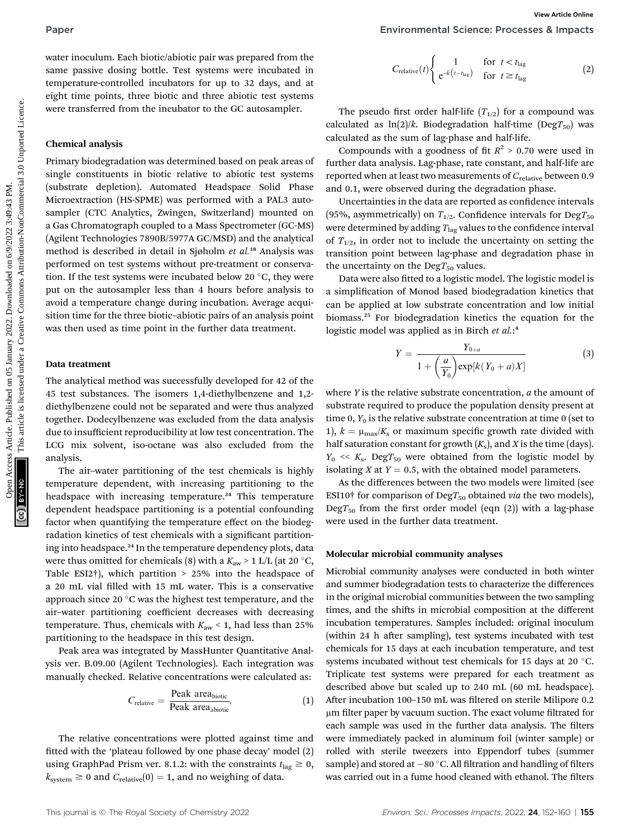water inoculum. Each biotic/abiotic pair was prepared from the same passive dosing bottle. Test systems were incubated in temperature-controlled incubators for up to 32 days, and at eight time points, three biotic and three abiotic test systems were transferred from the incubator to the GC autosampler.

#### Chemical analysis

Primary biodegradation was determined based on peak areas of single constituents in biotic relative to abiotic test systems (substrate depletion). Automated Headspace Solid Phase Microextraction (HS-SPME) was performed with a PAL3 autosampler (CTC Analytics, Zwingen, Switzerland) mounted on a Gas Chromatograph coupled to a Mass Spectrometer (GC-MS) (Agilent Technologies 7890B/5977A GC/MSD) and the analytical method is described in detail in Sjøholm et al.<sup>18</sup> Analysis was performed on test systems without pre-treatment or conservation. If the test systems were incubated below 20  $^{\circ}$ C, they were put on the autosampler less than 4 hours before analysis to avoid a temperature change during incubation. Average acquisition time for the three biotic–abiotic pairs of an analysis point was then used as time point in the further data treatment. **Paper**<br> **Examples the substrate control on the control on 100 minutes are the common and the common are pressed on the paper of the substrate are the substrate and the common and the substrate of the substrate is license** 

#### Data treatment

The analytical method was successfully developed for 42 of the 45 test substances. The isomers 1,4-diethylbenzene and 1,2 diethylbenzene could not be separated and were thus analyzed together. Dodecylbenzene was excluded from the data analysis due to insufficient reproducibility at low test concentration. The LCG mix solvent, iso-octane was also excluded from the analysis.

The air–water partitioning of the test chemicals is highly temperature dependent, with increasing partitioning to the headspace with increasing temperature.<sup>24</sup> This temperature dependent headspace partitioning is a potential confounding factor when quantifying the temperature effect on the biodegradation kinetics of test chemicals with a significant partitioning into headspace.<sup>24</sup> In the temperature dependency plots, data were thus omitted for chemicals (8) with a  $K_{\text{aw}}$  > 1 L/L (at 20 °C, Table ESI2†), which partition  $> 25\%$  into the headspace of a 20 mL vial filled with 15 mL water. This is a conservative approach since 20 $\degree$ C was the highest test temperature, and the air–water partitioning coefficient decreases with decreasing temperature. Thus, chemicals with  $K_{\text{aw}}$  < 1, had less than 25% partitioning to the headspace in this test design.

Peak area was integrated by MassHunter Quantitative Analysis ver. B.09.00 (Agilent Technologies). Each integration was manually checked. Relative concentrations were calculated as:

$$
C_{\text{relative}} = \frac{\text{Peak area}_{\text{biotic}}}{\text{Peak area}_{\text{abiotic}}},\tag{1}
$$

The relative concentrations were plotted against time and fitted with the 'plateau followed by one phase decay' model (2) using GraphPad Prism ver. 8.1.2: with the constraints  $t_{\text{lag}} \geq 0$ ,  $k_{\text{system}} \ge 0$  and  $C_{\text{relative}}(0) = 1$ , and no weighing of data.

$$
C_{\text{relative}}(t) \begin{cases} 1 & \text{for } t < t_{\text{lag}} \\ e^{-k\left(t - t_{\text{lag}}\right)} & \text{for } t \geq t_{\text{lag}} \end{cases} \tag{2}
$$

The pseudo first order half-life  $(T_{1/2})$  for a compound was calculated as  $ln(2)/k$ . Biodegradation half-time (DegT<sub>50</sub>) was calculated as the sum of lag-phase and half-life.

Compounds with a goodness of fit  $R^2 > 0.70$  were used in further data analysis. Lag-phase, rate constant, and half-life are reported when at least two measurements of  $C_{\text{relative}}$  between 0.9 and 0.1, were observed during the degradation phase.

Uncertainties in the data are reported as confidence intervals (95%, asymmetrically) on  $T_{1/2}$ . Confidence intervals for Deg $T_{50}$ were determined by adding  $T_{\text{lag}}$  values to the confidence interval of  $T_{1/2}$ , in order not to include the uncertainty on setting the transition point between lag-phase and degradation phase in the uncertainty on the  $\text{Deg}T_{50}$  values.

Data were also fitted to a logistic model. The logistic model is a simplication of Monod based biodegradation kinetics that can be applied at low substrate concentration and low initial biomass.<sup>25</sup> For biodegradation kinetics the equation for the logistic model was applied as in Birch et al.:4

$$
Y = \frac{Y_{0+a}}{1 + \left(\frac{a}{Y_0}\right) \exp[k(Y_0 + a)X]}
$$
 (3)

where  $Y$  is the relative substrate concentration,  $a$  the amount of substrate required to produce the population density present at time 0,  $Y_0$  is the relative substrate concentration at time 0 (set to 1),  $k = \mu_{\text{max}}/K_s$  or maximum specific growth rate divided with half saturation constant for growth  $(K<sub>s</sub>)$ , and X is the time (days).  $Y_0 \ll K_s$ . Deg $T_{50}$  were obtained from the logistic model by isolating  $X$  at  $Y = 0.5$ , with the obtained model parameters.

As the differences between the two models were limited (see ESI10† for comparison of Deg $T_{50}$  obtained via the two models),  $DegT_{50}$  from the first order model (eqn (2)) with a lag-phase were used in the further data treatment.

#### Molecular microbial community analyses

Microbial community analyses were conducted in both winter and summer biodegradation tests to characterize the differences in the original microbial communities between the two sampling times, and the shifts in microbial composition at the different incubation temperatures. Samples included: original inoculum (within 24 h after sampling), test systems incubated with test chemicals for 15 days at each incubation temperature, and test systems incubated without test chemicals for 15 days at 20  $^{\circ}$ C. Triplicate test systems were prepared for each treatment as described above but scaled up to 240 mL (60 mL headspace). After incubation 100-150 mL was filtered on sterile Milipore 0.2 um filter paper by vacuum suction. The exact volume filtrated for each sample was used in the further data analysis. The filters were immediately packed in aluminum foil (winter sample) or rolled with sterile tweezers into Eppendorf tubes (summer sample) and stored at  $-80$  °C. All filtration and handling of filters was carried out in a fume hood cleaned with ethanol. The filters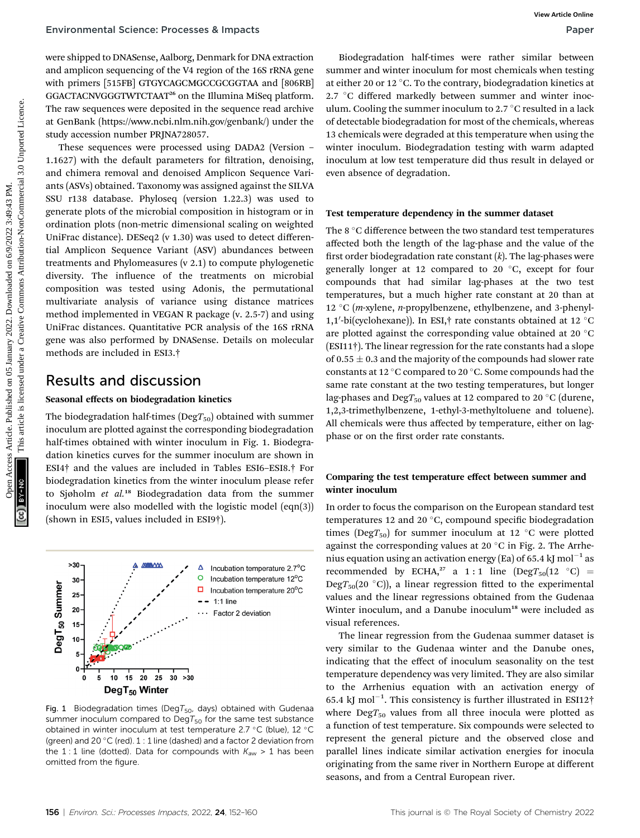were shipped to DNASense, Aalborg, Denmark for DNA extraction and amplicon sequencing of the V4 region of the 16S rRNA gene with primers [515FB] GTGYCAGCMGCCGCGGTAA and [806RB] GGACTACNVGGGTWTCTAAT<sup>26</sup> on the Illumina MiSeq platform. The raw sequences were deposited in the sequence read archive at GenBank (https://www.ncbi.nlm.nih.gov/genbank/) under the study accession number PRJNA728057.

These sequences were processed using DADA2 (Version – 1.1627) with the default parameters for filtration, denoising, and chimera removal and denoised Amplicon Sequence Variants (ASVs) obtained. Taxonomy was assigned against the SILVA SSU r138 database. Phyloseq (version 1.22.3) was used to generate plots of the microbial composition in histogram or in ordination plots (non-metric dimensional scaling on weighted UniFrac distance). DESeq2 (v 1.30) was used to detect differential Amplicon Sequence Variant (ASV) abundances between treatments and Phylomeasures (v 2.1) to compute phylogenetic diversity. The influence of the treatments on microbial composition was tested using Adonis, the permutational multivariate analysis of variance using distance matrices method implemented in VEGAN R package (v. 2.5-7) and using UniFrac distances. Quantitative PCR analysis of the 16S rRNA gene was also performed by DNASense. Details on molecular methods are included in ESI3.†

## Results and discussion

#### Seasonal effects on biodegradation kinetics

The biodegradation half-times ( $\text{Deg}T_{50}$ ) obtained with summer inoculum are plotted against the corresponding biodegradation half-times obtained with winter inoculum in Fig. 1. Biodegradation kinetics curves for the summer inoculum are shown in ESI4† and the values are included in Tables ESI6–ESI8.† For biodegradation kinetics from the winter inoculum please refer to Sjøholm et al.<sup>18</sup> Biodegradation data from the summer inoculum were also modelled with the logistic model (eqn(3)) (shown in ESI5, values included in ESI9†).



Fig. 1 Biodegradation times (Deg $T_{50}$ , days) obtained with Gudenaa summer inoculum compared to DegT<sub>50</sub> for the same test substance obtained in winter inoculum at test temperature 2.7 °C (blue), 12 °C (green) and 20  $\degree$ C (red). 1 : 1 line (dashed) and a factor 2 deviation from the 1 : 1 line (dotted). Data for compounds with  $K_{\text{aw}} > 1$  has been omitted from the figure.

Biodegradation half-times were rather similar between summer and winter inoculum for most chemicals when testing at either 20 or 12 °C. To the contrary, biodegradation kinetics at  $2.7 \text{ °C}$  differed markedly between summer and winter inoculum. Cooling the summer inoculum to  $2.7^{\circ}$ C resulted in a lack of detectable biodegradation for most of the chemicals, whereas 13 chemicals were degraded at this temperature when using the winter inoculum. Biodegradation testing with warm adapted inoculum at low test temperature did thus result in delayed or even absence of degradation.

#### Test temperature dependency in the summer dataset

The 8  $\degree$ C difference between the two standard test temperatures affected both the length of the lag-phase and the value of the first order biodegradation rate constant  $(k)$ . The lag-phases were generally longer at 12 compared to 20  $^{\circ}$ C, except for four compounds that had similar lag-phases at the two test temperatures, but a much higher rate constant at 20 than at 12 °C (*m*-xylene, *n*-propylbenzene, ethylbenzene, and 3-phenyl-1,1'-bi(cyclohexane)). In ESI,† rate constants obtained at 12 °C<br>are plotted against the corresponding value obtained at 20 °C are plotted against the corresponding value obtained at 20 $\degree$ C (ESI11†). The linear regression for the rate constants had a slope of 0.55  $\pm$  0.3 and the majority of the compounds had slower rate constants at 12  $\mathrm{^{\circ}C}$  compared to 20  $\mathrm{^{\circ}C}.$  Some compounds had the same rate constant at the two testing temperatures, but longer lag-phases and Deg $T_{50}$  values at 12 compared to 20 °C (durene, 1,2,3-trimethylbenzene, 1-ethyl-3-methyltoluene and toluene). All chemicals were thus affected by temperature, either on lagphase or on the first order rate constants. Environmental Science: Processes & mpacts<br>
New Subset Comparison and the comparison and the comparison of the Creative Common and solvent and where the common and the common and the common and the common and the common and

#### Comparing the test temperature effect between summer and winter inoculum

In order to focus the comparison on the European standard test temperatures 12 and 20 $\degree$ C, compound specific biodegradation times (DegT<sub>50</sub>) for summer inoculum at 12 °C were plotted against the corresponding values at 20  $^{\circ}$ C in Fig. 2. The Arrhenius equation using an activation energy (Ea) of 65.4 kJ mol<sup>-1</sup> as recommended by ECHA,<sup>27</sup> a 1:1 line  $(DegT_{50}(12 \degree C)$  = Deg $T_{50}(20\text{ °C})$ , a linear regression fitted to the experimental values and the linear regressions obtained from the Gudenaa Winter inoculum, and a Danube inoculum<sup>18</sup> were included as visual references.

The linear regression from the Gudenaa summer dataset is very similar to the Gudenaa winter and the Danube ones, indicating that the effect of inoculum seasonality on the test temperature dependency was very limited. They are also similar to the Arrhenius equation with an activation energy of 65.4 kJ mol<sup>-1</sup>. This consistency is further illustrated in ESI12<sup>†</sup> where  $\text{Deg}T_{50}$  values from all three inocula were plotted as a function of test temperature. Six compounds were selected to represent the general picture and the observed close and parallel lines indicate similar activation energies for inocula originating from the same river in Northern Europe at different seasons, and from a Central European river.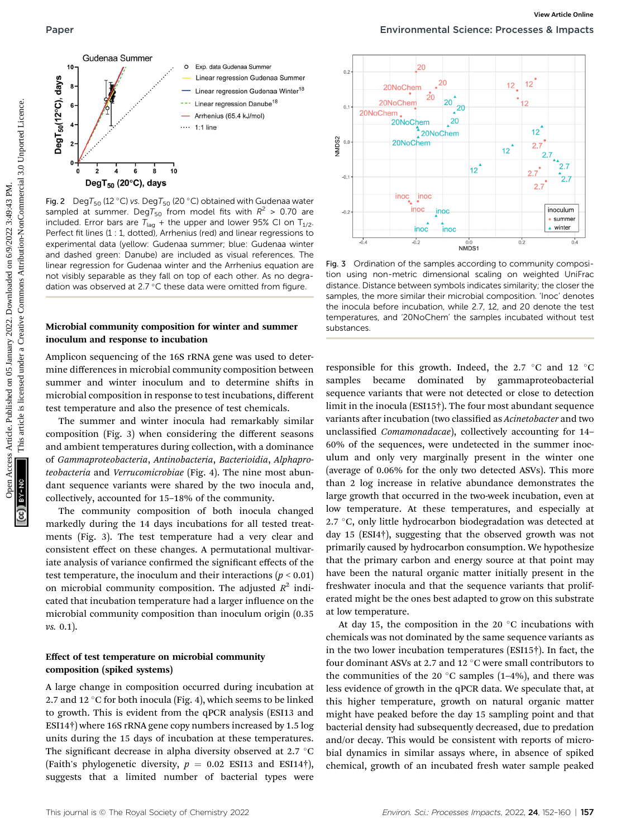

Fig. 2 Deg $T_{50}$  (12 °C) vs. Deg $T_{50}$  (20 °C) obtained with Gudenaa water sampled at summer. DegT<sub>50</sub> from model fits with  $R^2 > 0.70$  are included. Error bars are  $T_{lag}$  + the upper and lower 95% CI on  $T_{1/2}$ . Perfect fit lines (1 : 1, dotted), Arrhenius (red) and linear regressions to experimental data (yellow: Gudenaa summer; blue: Gudenaa winter and dashed green: Danube) are included as visual references. The linear regression for Gudenaa winter and the Arrhenius equation are not visibly separable as they fall on top of each other. As no degradation was observed at 2.7 °C these data were omitted from figure.

#### Microbial community composition for winter and summer inoculum and response to incubation

Amplicon sequencing of the 16S rRNA gene was used to determine differences in microbial community composition between summer and winter inoculum and to determine shifts in microbial composition in response to test incubations, different test temperature and also the presence of test chemicals.

The summer and winter inocula had remarkably similar composition (Fig. 3) when considering the different seasons and ambient temperatures during collection, with a dominance of Gammaproteobacteria, Antinobacteria, Bacterioidia, Alphaproteobacteria and Verrucomicrobiae (Fig. 4). The nine most abundant sequence variants were shared by the two inocula and, collectively, accounted for 15–18% of the community.

The community composition of both inocula changed markedly during the 14 days incubations for all tested treatments (Fig. 3). The test temperature had a very clear and consistent effect on these changes. A permutational multivariate analysis of variance confirmed the significant effects of the test temperature, the inoculum and their interactions ( $p < 0.01$ ) on microbial community composition. The adjusted  $R^2$  indicated that incubation temperature had a larger influence on the microbial community composition than inoculum origin (0.35 vs. 0.1).

#### Effect of test temperature on microbial community composition (spiked systems)

A large change in composition occurred during incubation at 2.7 and 12 °C for both inocula (Fig. 4), which seems to be linked to growth. This is evident from the qPCR analysis (ESI13 and ESI14†) where 16S rRNA gene copy numbers increased by 1.5 log units during the 15 days of incubation at these temperatures. The significant decrease in alpha diversity observed at 2.7  $\mathrm{^{\circ}C}$ (Faith's phylogenetic diversity,  $p = 0.02$  ESI13 and ESI14†), suggests that a limited number of bacterial types were



Fig. 3 Ordination of the samples according to community composition using non-metric dimensional scaling on weighted UniFrac distance. Distance between symbols indicates similarity; the closer the samples, the more similar their microbial composition. 'Inoc' denotes the inocula before incubation, while 2.7, 12, and 20 denote the test temperatures, and '20NoChem' the samples incubated without test substances.

responsible for this growth. Indeed, the 2.7  $\degree$ C and 12  $\degree$ C samples became dominated by gammaproteobacterial sequence variants that were not detected or close to detection limit in the inocula (ESI15†). The four most abundant sequence variants after incubation (two classified as Acinetobacter and two unclassified Comamonadacae), collectively accounting for 14-60% of the sequences, were undetected in the summer inoculum and only very marginally present in the winter one (average of 0.06% for the only two detected ASVs). This more than 2 log increase in relative abundance demonstrates the large growth that occurred in the two-week incubation, even at low temperature. At these temperatures, and especially at 2.7  $\degree$ C, only little hydrocarbon biodegradation was detected at day 15 (ESI4†), suggesting that the observed growth was not primarily caused by hydrocarbon consumption. We hypothesize that the primary carbon and energy source at that point may have been the natural organic matter initially present in the freshwater inocula and that the sequence variants that proliferated might be the ones best adapted to grow on this substrate at low temperature.

At day 15, the composition in the 20 $\degree$ C incubations with chemicals was not dominated by the same sequence variants as in the two lower incubation temperatures (ESI15†). In fact, the four dominant ASVs at 2.7 and 12  $^{\circ}$ C were small contributors to the communities of the 20  $^{\circ}$ C samples (1-4%), and there was less evidence of growth in the qPCR data. We speculate that, at this higher temperature, growth on natural organic matter might have peaked before the day 15 sampling point and that bacterial density had subsequently decreased, due to predation and/or decay. This would be consistent with reports of microbial dynamics in similar assays where, in absence of spiked chemical, growth of an incubated fresh water sample peaked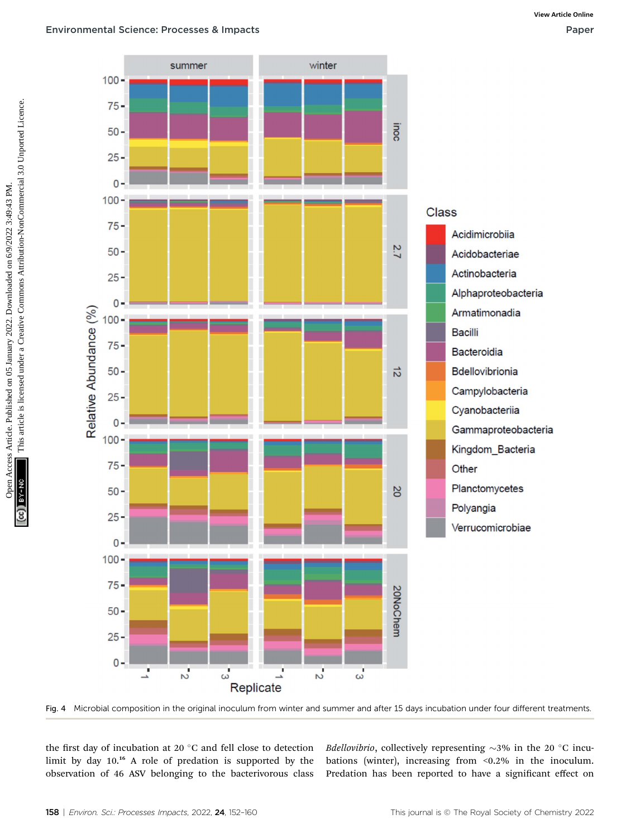#### Environmental Science: Processes & Impacts Paper



Fig. 4 Microbial composition in the original inoculum from winter and summer and after 15 days incubation under four different treatments.

the first day of incubation at 20 $\degree$ C and fell close to detection limit by day 10.<sup>16</sup> A role of predation is supported by the observation of 46 ASV belonging to the bacterivorous class *Bdellovibrio*, collectively representing  $\sim$ 3% in the 20 °C incubations (winter), increasing from <0.2% in the inoculum. Predation has been reported to have a significant effect on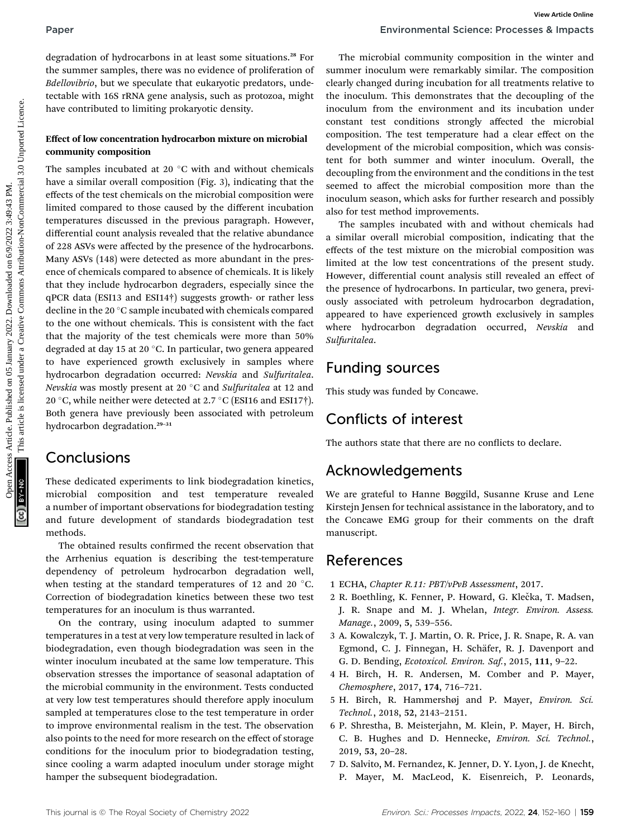degradation of hydrocarbons in at least some situations.<sup>28</sup> For the summer samples, there was no evidence of proliferation of Bdellovibrio, but we speculate that eukaryotic predators, undetectable with 16S rRNA gene analysis, such as protozoa, might have contributed to limiting prokaryotic density.

#### Effect of low concentration hydrocarbon mixture on microbial community composition

The samples incubated at 20 $\degree$ C with and without chemicals have a similar overall composition (Fig. 3), indicating that the effects of the test chemicals on the microbial composition were limited compared to those caused by the different incubation temperatures discussed in the previous paragraph. However, differential count analysis revealed that the relative abundance of 228 ASVs were affected by the presence of the hydrocarbons. Many ASVs (148) were detected as more abundant in the presence of chemicals compared to absence of chemicals. It is likely that they include hydrocarbon degraders, especially since the qPCR data (ESI13 and ESI14†) suggests growth- or rather less decline in the 20 °C sample incubated with chemicals compared to the one without chemicals. This is consistent with the fact that the majority of the test chemicals were more than 50% degraded at day 15 at 20 $^{\circ}$ C. In particular, two genera appeared to have experienced growth exclusively in samples where hydrocarbon degradation occurred: Nevskia and Sulfuritalea. Nevskia was mostly present at 20 $\degree$ C and Sulfuritalea at 12 and 20 °C, while neither were detected at 2.7 °C (ESI16 and ESI17 $\dagger$ ). Both genera have previously been associated with petroleum hydrocarbon degradation.<sup>29-31</sup> Paper<br>
Operation of hydrocathons in a least some situations.<sup>32</sup> Tor The microbial community composition in the since of the since the since of the since of the since of the since of the since of the since of the since of

# Conclusions

These dedicated experiments to link biodegradation kinetics, microbial composition and test temperature revealed a number of important observations for biodegradation testing and future development of standards biodegradation test methods.

The obtained results confirmed the recent observation that the Arrhenius equation is describing the test-temperature dependency of petroleum hydrocarbon degradation well, when testing at the standard temperatures of 12 and 20 $\degree$ C. Correction of biodegradation kinetics between these two test temperatures for an inoculum is thus warranted.

On the contrary, using inoculum adapted to summer temperatures in a test at very low temperature resulted in lack of biodegradation, even though biodegradation was seen in the winter inoculum incubated at the same low temperature. This observation stresses the importance of seasonal adaptation of the microbial community in the environment. Tests conducted at very low test temperatures should therefore apply inoculum sampled at temperatures close to the test temperature in order to improve environmental realism in the test. The observation also points to the need for more research on the effect of storage conditions for the inoculum prior to biodegradation testing, since cooling a warm adapted inoculum under storage might hamper the subsequent biodegradation.

The microbial community composition in the winter and summer inoculum were remarkably similar. The composition clearly changed during incubation for all treatments relative to the inoculum. This demonstrates that the decoupling of the inoculum from the environment and its incubation under constant test conditions strongly affected the microbial composition. The test temperature had a clear effect on the development of the microbial composition, which was consistent for both summer and winter inoculum. Overall, the decoupling from the environment and the conditions in the test seemed to affect the microbial composition more than the inoculum season, which asks for further research and possibly also for test method improvements.

The samples incubated with and without chemicals had a similar overall microbial composition, indicating that the effects of the test mixture on the microbial composition was limited at the low test concentrations of the present study. However, differential count analysis still revealed an effect of the presence of hydrocarbons. In particular, two genera, previously associated with petroleum hydrocarbon degradation, appeared to have experienced growth exclusively in samples where hydrocarbon degradation occurred, Nevskia and Sulfuritalea.

# Funding sources

This study was funded by Concawe.

# Conflicts of interest

The authors state that there are no conflicts to declare.

# Acknowledgements

We are grateful to Hanne Bøggild, Susanne Kruse and Lene Kirstejn Jensen for technical assistance in the laboratory, and to the Concawe EMG group for their comments on the dra manuscript.

# References

- 1 ECHA, Chapter R.11: PBT/vPvB Assessment, 2017.
- 2 R. Boethling, K. Fenner, P. Howard, G. Klečka, T. Madsen, J. R. Snape and M. J. Whelan, Integr. Environ. Assess. Manage., 2009, 5, 539–556.
- 3 A. Kowalczyk, T. J. Martin, O. R. Price, J. R. Snape, R. A. van Egmond, C. J. Finnegan, H. Schäfer, R. J. Davenport and G. D. Bending, Ecotoxicol. Environ. Saf., 2015, 111, 9–22.
- 4 H. Birch, H. R. Andersen, M. Comber and P. Mayer, Chemosphere, 2017, 174, 716–721.
- 5 H. Birch, R. Hammershøj and P. Mayer, Environ. Sci. Technol., 2018, 52, 2143–2151.
- 6 P. Shrestha, B. Meisterjahn, M. Klein, P. Mayer, H. Birch, C. B. Hughes and D. Hennecke, Environ. Sci. Technol., 2019, 53, 20–28.
- 7 D. Salvito, M. Fernandez, K. Jenner, D. Y. Lyon, J. de Knecht, P. Mayer, M. MacLeod, K. Eisenreich, P. Leonards,